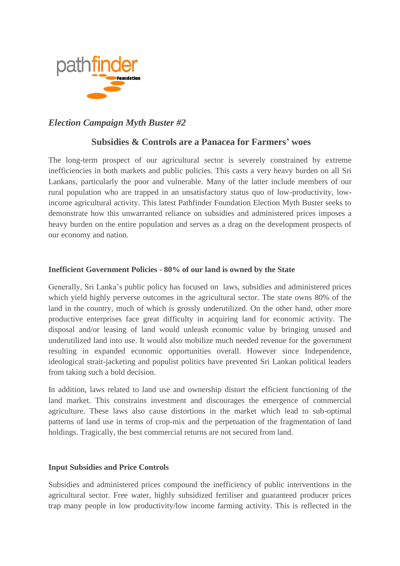

# *Election Campaign Myth Buster #2*

## **Subsidies & Controls are a Panacea for Farmers' woes**

The long-term prospect of our agricultural sector is severely constrained by extreme inefficiencies in both markets and public policies. This casts a very heavy burden on all Sri Lankans, particularly the poor and vulnerable. Many of the latter include members of our rural population who are trapped in an unsatisfactory status quo of low-productivity, lowincome agricultural activity. This latest Pathfinder Foundation Election Myth Buster seeks to demonstrate how this unwarranted reliance on subsidies and administered prices imposes a heavy burden on the entire population and serves as a drag on the development prospects of our economy and nation.

#### **Inefficient Government Policies - 80% of our land is owned by the State**

Generally, Sri Lanka's public policy has focused on laws, subsidies and administered prices which yield highly perverse outcomes in the agricultural sector. The state owns 80% of the land in the country, much of which is grossly underutilized. On the other hand, other more productive enterprises face great difficulty in acquiring land for economic activity. The disposal and/or leasing of land would unleash economic value by bringing unused and underutilized land into use. It would also mobilize much needed revenue for the government resulting in expanded economic opportunities overall. However since Independence, ideological strait-jacketing and populist politics have prevented Sri Lankan political leaders from taking such a bold decision.

In addition, laws related to land use and ownership distort the efficient functioning of the land market. This constrains investment and discourages the emergence of commercial agriculture. These laws also cause distortions in the market which lead to sub-optimal patterns of land use in terms of crop-mix and the perpetuation of the fragmentation of land holdings. Tragically, the best commercial returns are not secured from land.

#### **Input Subsidies and Price Controls**

Subsidies and administered prices compound the inefficiency of public interventions in the agricultural sector. Free water, highly subsidized fertiliser and guaranteed producer prices trap many people in low productivity/low income farming activity. This is reflected in the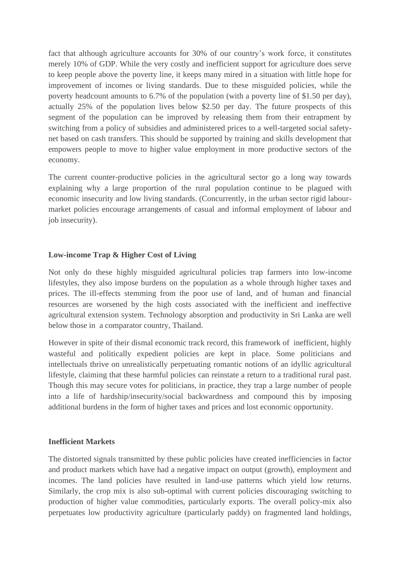fact that although agriculture accounts for 30% of our country's work force, it constitutes merely 10% of GDP. While the very costly and inefficient support for agriculture does serve to keep people above the poverty line, it keeps many mired in a situation with little hope for improvement of incomes or living standards. Due to these misguided policies, while the poverty headcount amounts to 6.7% of the population (with a poverty line of \$1.50 per day), actually 25% of the population lives below \$2.50 per day. The future prospects of this segment of the population can be improved by releasing them from their entrapment by switching from a policy of subsidies and administered prices to a well-targeted social safetynet based on cash transfers. This should be supported by training and skills development that empowers people to move to higher value employment in more productive sectors of the economy.

The current counter-productive policies in the agricultural sector go a long way towards explaining why a large proportion of the rural population continue to be plagued with economic insecurity and low living standards. (Concurrently, in the urban sector rigid labourmarket policies encourage arrangements of casual and informal employment of labour and job insecurity).

## **Low-income Trap & Higher Cost of Living**

Not only do these highly misguided agricultural policies trap farmers into low-income lifestyles, they also impose burdens on the population as a whole through higher taxes and prices. The ill-effects stemming from the poor use of land, and of human and financial resources are worsened by the high costs associated with the inefficient and ineffective agricultural extension system. Technology absorption and productivity in Sri Lanka are well below those in a comparator country, Thailand.

However in spite of their dismal economic track record, this framework of inefficient, highly wasteful and politically expedient policies are kept in place. Some politicians and intellectuals thrive on unrealistically perpetuating romantic notions of an idyllic agricultural lifestyle, claiming that these harmful policies can reinstate a return to a traditional rural past. Though this may secure votes for politicians, in practice, they trap a large number of people into a life of hardship/insecurity/social backwardness and compound this by imposing additional burdens in the form of higher taxes and prices and lost economic opportunity.

#### **Inefficient Markets**

The distorted signals transmitted by these public policies have created inefficiencies in factor and product markets which have had a negative impact on output (growth), employment and incomes. The land policies have resulted in land-use patterns which yield low returns. Similarly, the crop mix is also sub-optimal with current policies discouraging switching to production of higher value commodities, particularly exports. The overall policy-mix also perpetuates low productivity agriculture (particularly paddy) on fragmented land holdings,